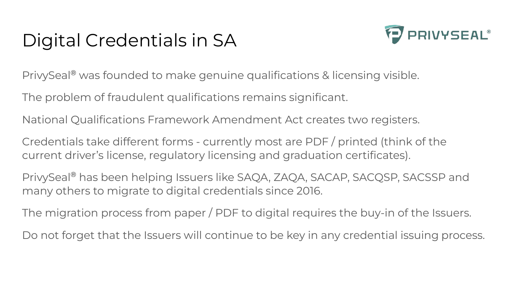# Digital Credentials in SA



PrivySeal® was founded to make genuine qualifications & licensing visible.

The problem of fraudulent qualifications remains significant.

National Qualifications Framework Amendment Act creates two registers.

Credentials take different forms - currently most are PDF / printed (think of the current driver's license, regulatory licensing and graduation certificates).

PrivySeal® has been helping Issuers like SAQA, ZAQA, SACAP, SACQSP, SACSSP and many others to migrate to digital credentials since 2016.

The migration process from paper / PDF to digital requires the buy-in of the Issuers.

Do not forget that the Issuers will continue to be key in any credential issuing process.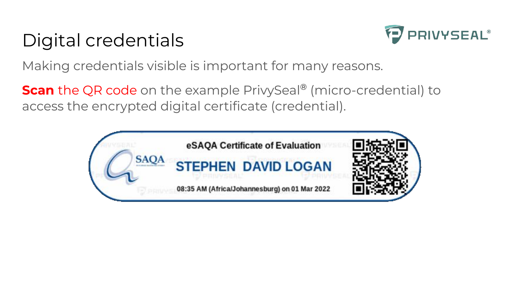# Digital credentials



Making credentials visible is important for many reasons.

**Scan** the QR code on the example PrivySeal<sup>®</sup> (micro-credential) to access the encrypted digital certificate (credential).

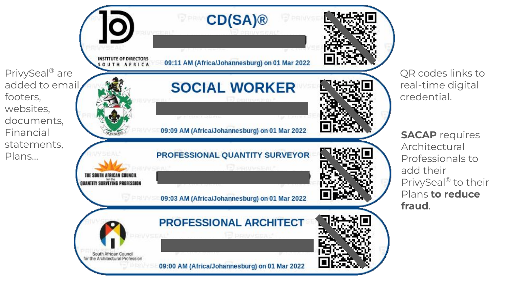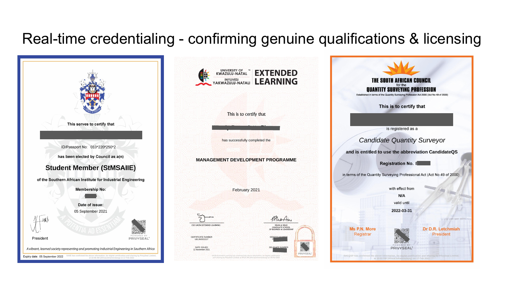#### Real-time credentialing - confirming genuine qualifications & licensing

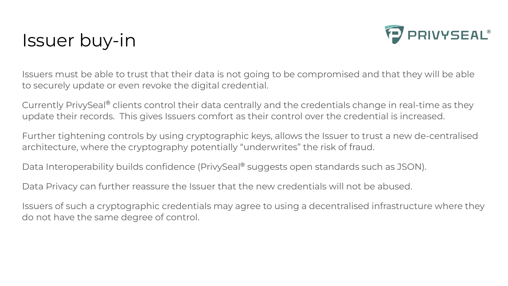### Issuer buy-in



Issuers must be able to trust that their data is not going to be compromised and that they will be able to securely update or even revoke the digital credential.

Currently PrivySeal® clients control their data centrally and the credentials change in real-time as they update their records. This gives Issuers comfort as their control over the credential is increased.

Further tightening controls by using cryptographic keys, allows the Issuer to trust a new de-centralised architecture, where the cryptography potentially "underwrites" the risk of fraud.

Data Interoperability builds confidence (PrivySeal® suggests open standards such as JSON).

Data Privacy can further reassure the Issuer that the new credentials will not be abused.

Issuers of such a cryptographic credentials may agree to using a decentralised infrastructure where they do not have the same degree of control.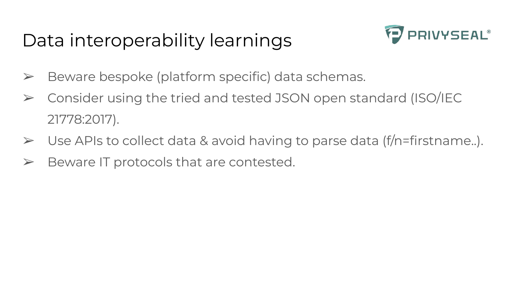# Data interoperability learnings



- $\triangleright$  Beware bespoke (platform specific) data schemas.
- ➢ Consider using the tried and tested JSON open standard (ISO/IEC 21778:2017).
- ➢ Use APIs to collect data & avoid having to parse data (f/n=firstname..).
- $\triangleright$  Beware IT protocols that are contested.